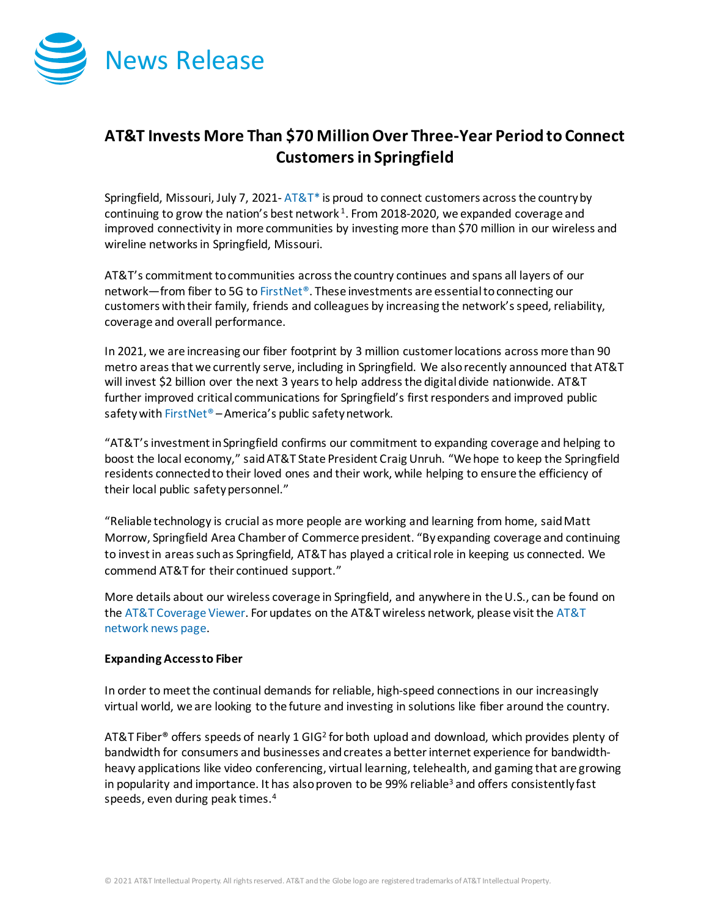

# **AT&T Invests More Than \$70 MillionOver Three-Year Period to Connect Customersin Springfield**

Springfield, Missouri, July 7, 2021- $AT&T^*$  is proud to connect customers across the country by continuing to grow the nation's best network  $1$ . From 2018-2020, we expanded coverage and improved connectivity in more communities by investing more than \$70 million in our wireless and wireline networks in Springfield, Missouri.

AT&T's commitment to communities across the country continues and spans all layers of our network—from fiber to 5G t[o FirstNet®](http://www.firstnet.com/). These investments are essential to connecting our customers with their family, friends and colleagues by increasing the network's speed, reliability, coverage and overall performance.

In 2021, we are increasing our fiber footprint by 3 million customer locations across more than 90 metro areas that we currently serve, including in Springfield. We also recently announced that AT&T will invest \$2 billion over the next 3 years to help address the digital divide nationwide. AT&T further improved critical communications for Springfield's first responders and improved public safety wit[h FirstNet®](http://www.firstnet.com/) - America's public safety network.

"AT&T's investment in Springfield confirms our commitment to expanding coverage and helping to boost the local economy," said AT&T State President Craig Unruh. "We hope to keep the Springfield residents connected to their loved ones and their work, while helping to ensure the efficiency of their local public safety personnel."

"Reliable technology is crucial as more people are working and learning from home, said Matt Morrow, Springfield Area Chamber of Commerce president. "By expanding coverage and continuing to invest in areas such as Springfield, AT&T has played a critical role in keeping us connected. We commend AT&T for their continued support."

More details about our wireless coverage in Springfield, and anywhere in the U.S., can be found on th[e AT&T Coverage Viewer.](https://www.att.com/maps/wireless-coverage.html) For updates on the AT&T wireless network, please visit th[e AT&T](https://about.att.com/innovation/network_and_field_operations)  [network news page.](https://about.att.com/innovation/network_and_field_operations)

## **Expanding Access to Fiber**

In order to meet the continual demands for reliable, high-speed connections in our increasingly virtual world, we are looking to the future and investing in solutions like fiber around the country.

AT&T Fiber<sup>®</sup> offers speeds of nearly 1 GIG<sup>2</sup> for both upload and download, which provides plenty of bandwidth for consumers and businesses and creates a better internet experience for bandwidthheavy applications like video conferencing, virtual learning, telehealth, and gaming that are growing in popularity and importance. It has also proven to be 99% reliable<sup>3</sup> and offers consistently fast speeds, even during peak times.4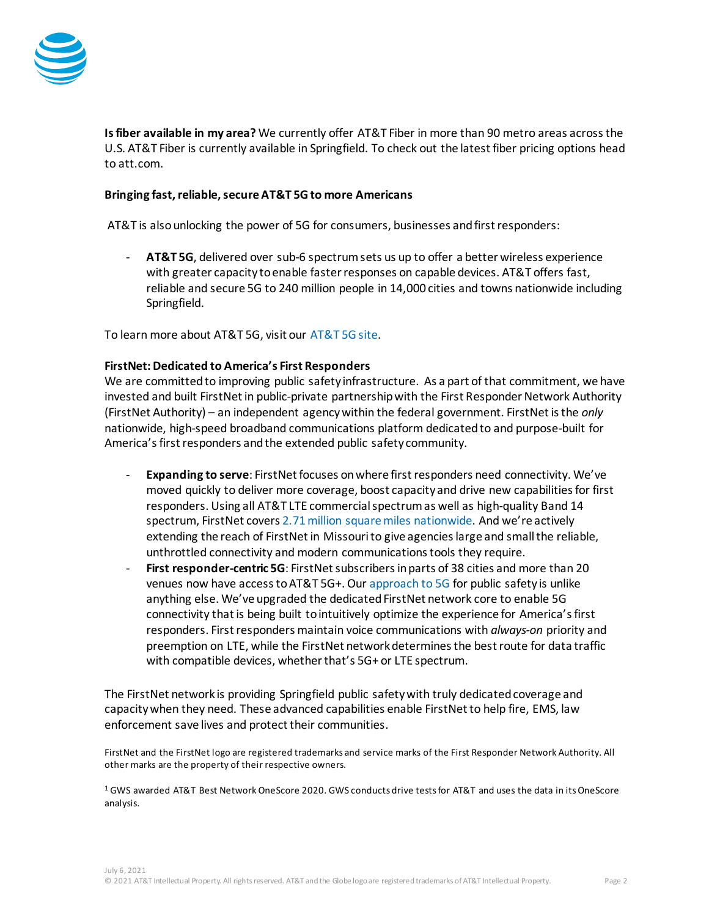

**Is fiber available in my area?** We currently offer AT&T Fiber in more than 90 metro areas across the U.S. AT&T Fiber is currently available in Springfield. To check out the latest fiber pricing options head t[o att.com.](https://about.att.com/story/2020/att_fiber_new_options.html)

### **Bringing fast, reliable, secure AT&T 5G to more Americans**

AT&T is also unlocking the power of 5G for consumers, businesses and first responders:

- **AT&T 5G**, delivered over sub-6 spectrum sets us up to offer a better wireless experience with greater capacity to enable faster responses on capable devices. AT&T offers fast, reliable and secure 5G to 240 million people in 14,000 cities and towns nationwide including Springfield.

To learn more about AT&T 5G, visit our [AT&T 5G site.](https://www.att.com/5g/)

#### **FirstNet: Dedicated to America's First Responders**

We are committed to improving public safety infrastructure. As a part of that commitment, we have invested and built FirstNet in public-private partnership with the First Responder Network Authority (FirstNet Authority) – an independent agency within the federal government. FirstNet is the *only* nationwide, high-speed broadband communications platform dedicated to and purpose-built for America's first responders and the extended public safety community.

- **Expanding to serve**: FirstNet focuses on where first responders need connectivity. We've moved quickly to deliver more coverage, boost capacity and drive new capabilities for first responders. Using all AT&T LTE commercial spectrum as well as high-quality Band 14 spectrum, FirstNet cover[s 2.71 million square miles nationwide.](https://about.att.com/story/2021/fn_expands.html) And we're actively extending the reach of FirstNet in Missourito give agencies large and small the reliable, unthrottled connectivity and modern communications tools they require.
- **First responder-centric 5G**: FirstNet subscribers in parts of 38 cities and more than 20 venues now have access to AT&T 5G+. Our [approach to 5G](https://about.att.com/story/2021/fn_5g.html) for public safety is unlike anything else. We've upgraded the dedicated FirstNet network core to enable 5G connectivity that is being built to intuitively optimize the experience for America's first responders. First responders maintain voice communications with *always-on* priority and preemption on LTE, while the FirstNet network determines the best route for data traffic with compatible devices, whether that's 5G+ or LTE spectrum.

The FirstNet network is providing Springfield public safety with truly dedicated coverage and capacity when they need. These advanced capabilities enable FirstNet to help fire, EMS, law enforcement save lives and protect their communities.

FirstNet and the FirstNet logo are registered trademarks and service marks of the First Responder Network Authority. All other marks are the property of their respective owners.

<sup>1</sup> GWS awarded AT&T Best Network OneScore 2020. GWS conducts drive tests for AT&T and uses the data in its OneScore analysis.